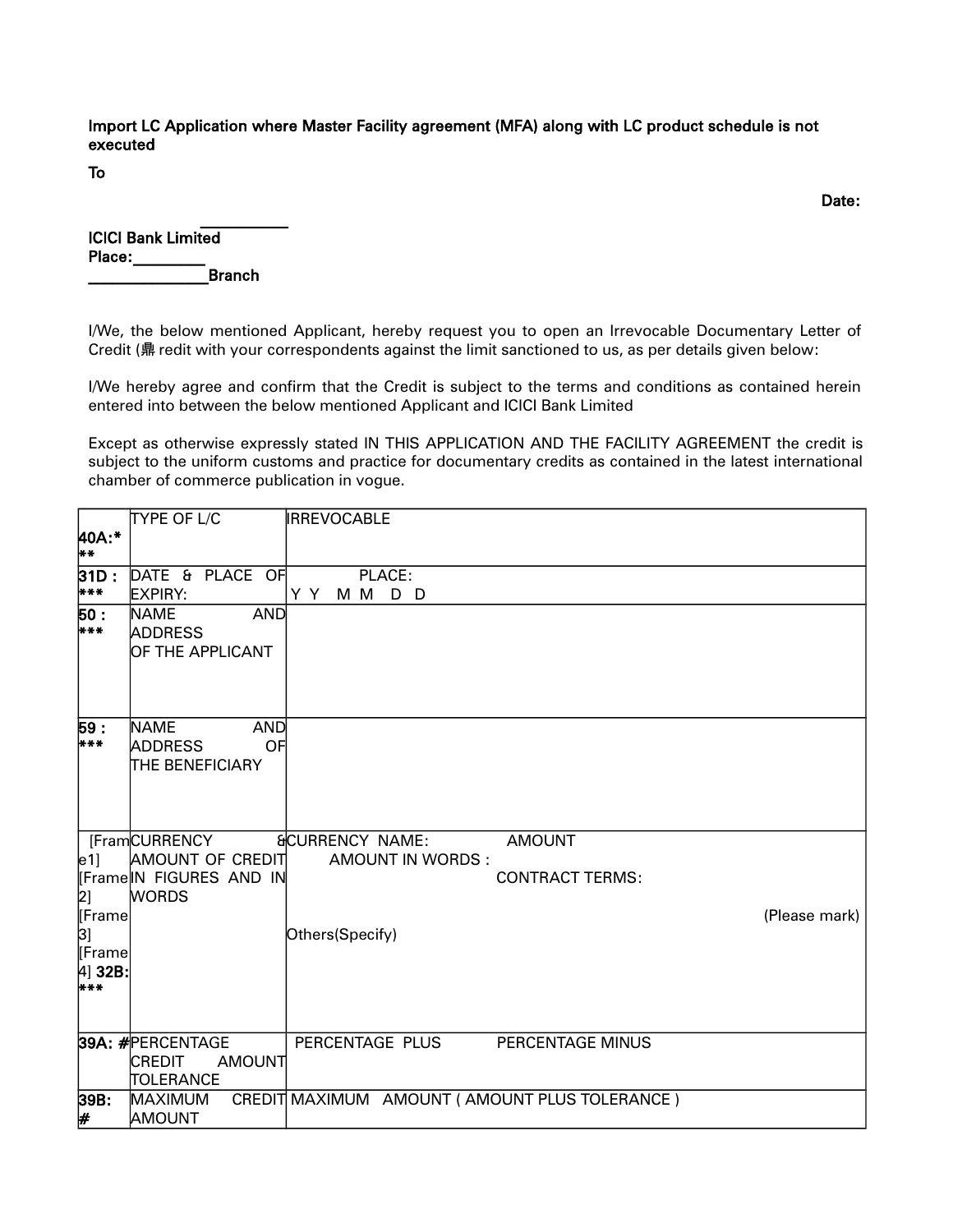Import LC Application where Master Facility agreement (MFA) along with LC product schedule is not executed

To

discussion of the contract of the contract of the contract of the contract of the contract of the contract of the contract of the contract of the contract of the contract of the contract of the contract of the contract of

| <b>ICICI Bank Limited</b> |  |  |  |  |
|---------------------------|--|--|--|--|
| Place:                    |  |  |  |  |
| <b>Branch</b>             |  |  |  |  |

 $\mathcal{L}_\text{max}$ 

I/We, the below mentioned Applicant, hereby request you to open an Irrevocable Documentary Letter of Credit (鼎 redit with your correspondents against the limit sanctioned to us, as per details given below:

I/We hereby agree and confirm that the Credit is subject to the terms and conditions as contained herein entered into between the below mentioned Applicant and ICICI Bank Limited

Except as otherwise expressly stated IN THIS APPLICATION AND THE FACILITY AGREEMENT the credit is subject to the uniform customs and practice for documentary credits as contained in the latest international chamber of commerce publication in vogue.

|                      | TYPE OF L/C                                                                 | <b>IRREVOCABLE</b>                            |
|----------------------|-----------------------------------------------------------------------------|-----------------------------------------------|
| 40A:*<br>**          |                                                                             |                                               |
| 31D :<br>***         | DATE & PLACE OF<br><b>EXPIRY:</b>                                           | PLACE:<br>Y Y<br>M M D D                      |
| 50 :<br>***          | <b>NAME</b><br><b>AND</b><br><b>ADDRESS</b><br>OF THE APPLICANT             |                                               |
| 59:<br>***           | <b>NAME</b><br><b>AND</b><br><b>ADDRESS</b><br>OF<br><b>THE BENEFICIARY</b> |                                               |
|                      | [FramCURRENCY                                                               | <b>&amp;CURRENCY NAME:</b><br><b>AMOUNT</b>   |
| $\lfloor e1 \rfloor$ | AMOUNT OF CREDIT                                                            | <b>AMOUNT IN WORDS:</b>                       |
|                      | Frame IN FIGURES AND IN                                                     | <b>CONTRACT TERMS:</b>                        |
| $\left 2\right $     | <b>WORDS</b>                                                                |                                               |
| Frame                |                                                                             | (Please mark)                                 |
| 31<br>Frame          |                                                                             | Others(Specify)                               |
| [4] 32B:<br>$* * *$  |                                                                             |                                               |
|                      | 39A: #PERCENTAGE                                                            | PERCENTAGE PLUS<br>PERCENTAGE MINUS           |
|                      | <b>CREDIT</b><br>AMOUNT                                                     |                                               |
|                      | TOLERANCE                                                                   |                                               |
| 39B:                 | <b>MAXIMUM</b>                                                              | CREDIT MAXIMUM AMOUNT (AMOUNT PLUS TOLERANCE) |
| #                    | <b>AMOUNT</b>                                                               |                                               |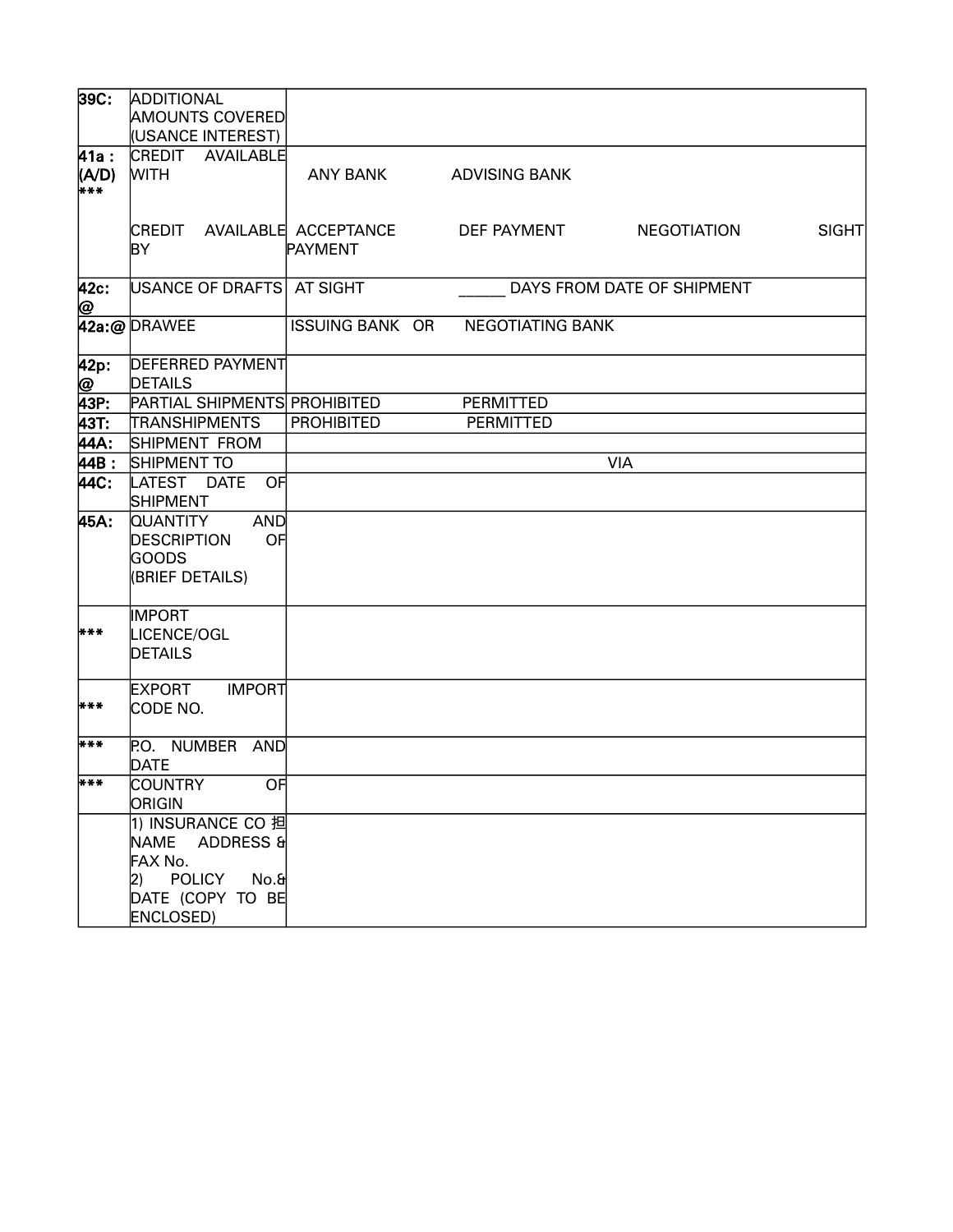| 39C                   | <b>ADDITIONAL</b><br><b>AMOUNTS COVERED</b>                                                                    |                        |                         |                            |       |
|-----------------------|----------------------------------------------------------------------------------------------------------------|------------------------|-------------------------|----------------------------|-------|
|                       | (USANCE INTEREST)                                                                                              |                        |                         |                            |       |
| 41a :<br>(A/D)<br>*** | CREDIT AVAILABLE<br><b>WITH</b>                                                                                | <b>ANY BANK</b>        | <b>ADVISING BANK</b>    |                            |       |
|                       | CREDIT AVAILABLE ACCEPTANCE<br>ΒY                                                                              | <b>PAYMENT</b>         | DEF PAYMENT             | <b>NEGOTIATION</b>         | SIGHT |
| 42c:<br>@             | USANCE OF DRAFTS                                                                                               | AT SIGHT               |                         | DAYS FROM DATE OF SHIPMENT |       |
|                       | 42a:@DRAWEE                                                                                                    | <b>ISSUING BANK OR</b> | <b>NEGOTIATING BANK</b> |                            |       |
| 42p:                  | <b>DEFERRED PAYMENT</b><br>DETAILS                                                                             |                        |                         |                            |       |
| @<br>43P:             | PARTIAL SHIPMENTS PROHIBITED                                                                                   |                        | PERMITTED               |                            |       |
| 43T.                  | TRANSHIPMENTS                                                                                                  | <b>PROHIBITED</b>      | <b>PERMITTED</b>        |                            |       |
| 44A:                  | SHIPMENT FROM                                                                                                  |                        |                         |                            |       |
| 44B:                  | SHIPMENT TO                                                                                                    |                        |                         | <b>VIA</b>                 |       |
| 44C                   | LATEST DATE<br>OF<br><b>SHIPMENT</b>                                                                           |                        |                         |                            |       |
| 45A:                  | <b>AND</b><br><b>QUANTITY</b><br><b>DESCRIPTION</b><br>OF<br><b>GOODS</b><br>(BRIEF DETAILS)                   |                        |                         |                            |       |
| ***                   | <b>IMPORT</b><br>LICENCE/OGL<br><b>DETAILS</b>                                                                 |                        |                         |                            |       |
| ***                   | <b>EXPORT</b><br><b>IMPORT</b><br>CODE NO.                                                                     |                        |                         |                            |       |
| ***                   | P.O. NUMBER<br>AND<br><b>DATE</b>                                                                              |                        |                         |                            |       |
| ***                   | <b>COUNTRY</b><br>$\overline{OF}$<br>ORIGIN                                                                    |                        |                         |                            |       |
|                       | 1) INSURANCE CO 担<br>ADDRESS &<br>NAME<br>FAX No.<br>2) POLICY<br>No.&<br>DATE (COPY TO BE<br><b>ENCLOSED)</b> |                        |                         |                            |       |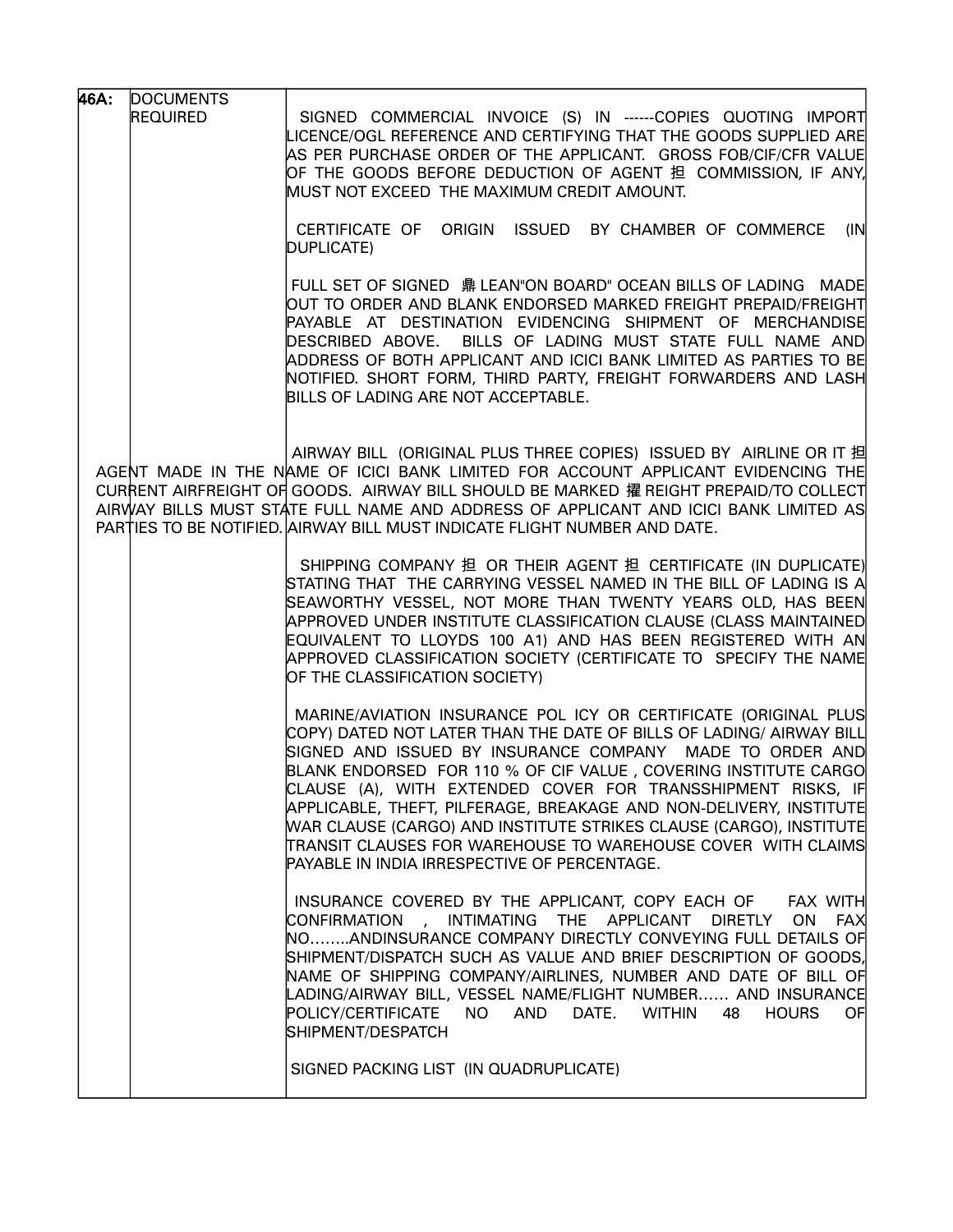| 46A: | <b>DOCUMENTS</b> |                                                                                                                                                                                                                                                                                                                                                                                                                                                                                                                                                                                                    |
|------|------------------|----------------------------------------------------------------------------------------------------------------------------------------------------------------------------------------------------------------------------------------------------------------------------------------------------------------------------------------------------------------------------------------------------------------------------------------------------------------------------------------------------------------------------------------------------------------------------------------------------|
|      | <b>REQUIRED</b>  | SIGNED COMMERCIAL INVOICE (S) IN ------COPIES QUOTING IMPORT<br>LICENCE/OGL REFERENCE AND CERTIFYING THAT THE GOODS SUPPLIED ARE<br>AS PER PURCHASE ORDER OF THE APPLICANT. GROSS FOB/CIF/CFR VALUE<br>OF THE GOODS BEFORE DEDUCTION OF AGENT 担 COMMISSION, IF ANY,<br>MUST NOT EXCEED THE MAXIMUM CREDIT AMOUNT.                                                                                                                                                                                                                                                                                  |
|      |                  | CERTIFICATE OF ORIGIN ISSUED BY CHAMBER OF COMMERCE<br>(IN)<br>DUPLICATE)                                                                                                                                                                                                                                                                                                                                                                                                                                                                                                                          |
|      |                  | FULL SET OF SIGNED 鼎 LEAN"ON BOARD" OCEAN BILLS OF LADING MADE<br>Out to order and blank endorsed marked freight prepaid/freight<br>PAYABLE AT DESTINATION EVIDENCING SHIPMENT OF MERCHANDISE<br>DESCRIBED ABOVE. BILLS OF LADING MUST STATE FULL NAME AND<br>ADDRESS OF BOTH APPLICANT AND ICICI BANK LIMITED AS PARTIES TO BE<br>NOTIFIED. SHORT FORM, THIRD PARTY, FREIGHT FORWARDERS AND LASH<br>BILLS OF LADING ARE NOT ACCEPTABLE.                                                                                                                                                           |
|      |                  | AIRWAY BILL (ORIGINAL PLUS THREE COPIES) ISSUED BY AIRLINE OR IT 担<br>AGENT MADE IN THE NAME OF ICICI BANK LIMITED FOR ACCOUNT APPLICANT EVIDENCING THE<br>CURRENT AIRFREIGHT OF GOODS. AIRWAY BILL SHOULD BE MARKED 擢 REIGHT PREPAID/TO COLLECT<br>AIRWAY BILLS MUST STATE FULL NAME AND ADDRESS OF APPLICANT AND ICICI BANK LIMITED AS<br>PARTIES TO BE NOTIFIED. AIRWAY BILL MUST INDICATE FLIGHT NUMBER AND DATE.                                                                                                                                                                              |
|      |                  | SHIPPING COMPANY 担 OR THEIR AGENT 担 CERTIFICATE (IN DUPLICATE)<br>STATING THAT THE CARRYING VESSEL NAMED IN THE BILL OF LADING IS A<br>SEAWORTHY VESSEL, NOT MORE THAN TWENTY YEARS OLD, HAS BEEN<br>APPROVED UNDER INSTITUTE CLASSIFICATION CLAUSE (CLASS MAINTAINED<br>EQUIVALENT TO LLOYDS 100 A1) AND HAS BEEN REGISTERED WITH AN<br>APPROVED CLASSIFICATION SOCIETY (CERTIFICATE TO SPECIFY THE NAME<br>OF THE CLASSIFICATION SOCIETY)                                                                                                                                                        |
|      |                  | MARINE/AVIATION INSURANCE POL ICY OR CERTIFICATE (ORIGINAL PLUS)<br>COPY) DATED NOT LATER THAN THE DATE OF BILLS OF LADING/ AIRWAY BILL<br>SIGNED AND ISSUED BY INSURANCE COMPANY MADE TO ORDER AND<br>BLANK ENDORSED FOR 110 % OF CIF VALUE, COVERING INSTITUTE CARGO<br>CLAUSE (A), WITH EXTENDED COVER FOR TRANSSHIPMENT RISKS, IF <br>APPLICABLE, THEFT, PILFERAGE, BREAKAGE AND NON-DELIVERY, INSTITUTE<br>WAR CLAUSE (CARGO) AND INSTITUTE STRIKES CLAUSE (CARGO), INSTITUTE<br>TRANSIT CLAUSES FOR WAREHOUSE TO WAREHOUSE COVER WITH CLAIMS<br>PAYABLE IN INDIA IRRESPECTIVE OF PERCENTAGE. |
|      |                  | INSURANCE COVERED BY THE APPLICANT, COPY EACH OF FAX WITH<br>CONFIRMATION , INTIMATING THE APPLICANT DIRETLY<br>ON FAX<br>NOANDINSURANCE COMPANY DIRECTLY CONVEYING FULL DETAILS OF<br>SHIPMENT/DISPATCH SUCH AS VALUE AND BRIEF DESCRIPTION OF GOODS,<br>NAME OF SHIPPING COMPANY/AIRLINES, NUMBER AND DATE OF BILL OF<br>LADING/AIRWAY BILL, VESSEL NAME/FLIGHT NUMBER AND INSURANCE<br>POLICY/CERTIFICATE<br>NO AND DATE. WITHIN<br>48 HOURS<br>OF<br>SHIPMENT/DESPATCH                                                                                                                         |
|      |                  | SIGNED PACKING LIST (IN QUADRUPLICATE)                                                                                                                                                                                                                                                                                                                                                                                                                                                                                                                                                             |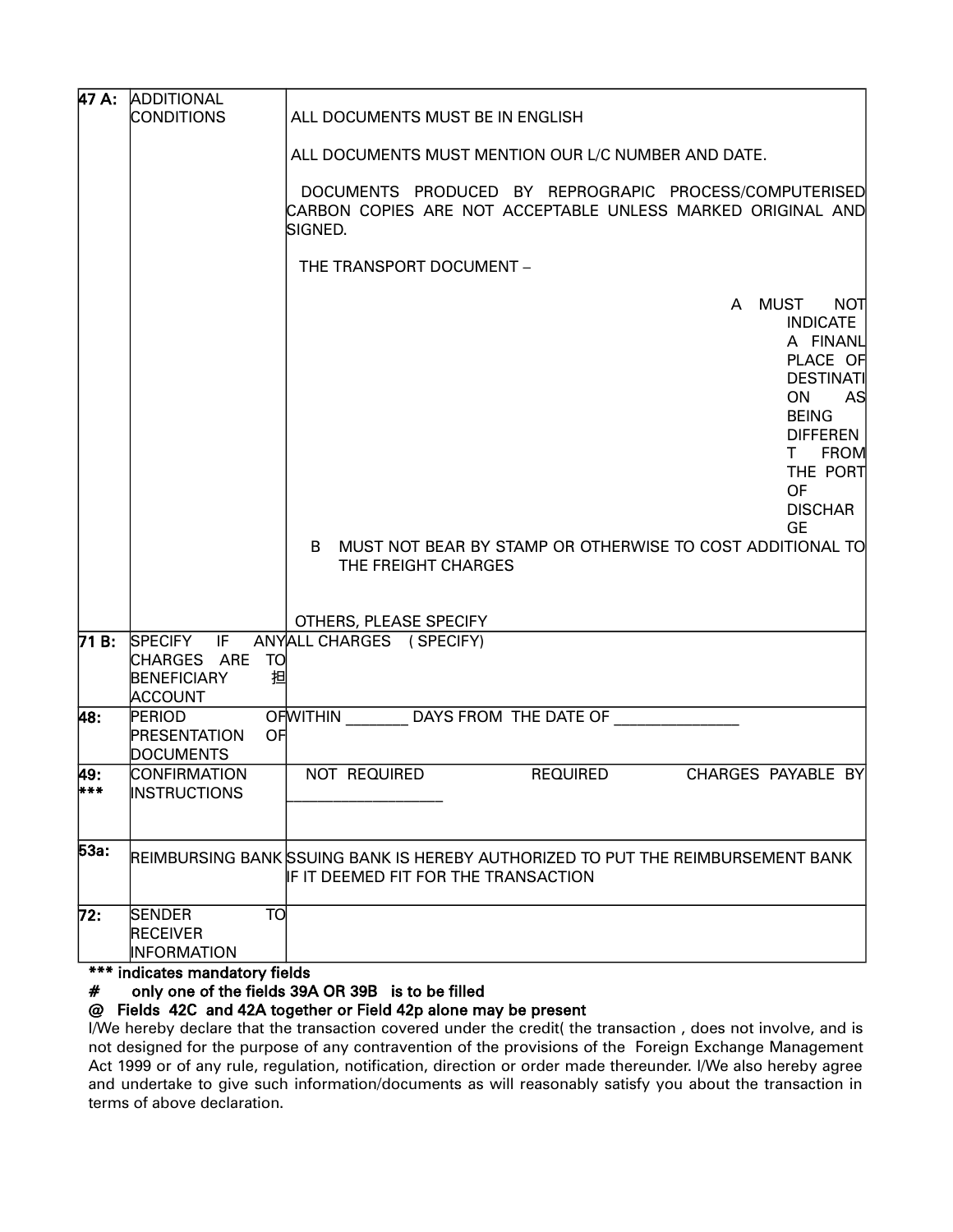|            | 47 A: ADDITIONAL                                                                         |                                                                                                                                                                                                                                                                                      |  |  |  |  |  |  |  |
|------------|------------------------------------------------------------------------------------------|--------------------------------------------------------------------------------------------------------------------------------------------------------------------------------------------------------------------------------------------------------------------------------------|--|--|--|--|--|--|--|
|            | <b>CONDITIONS</b>                                                                        | ALL DOCUMENTS MUST BE IN ENGLISH                                                                                                                                                                                                                                                     |  |  |  |  |  |  |  |
|            |                                                                                          | ALL DOCUMENTS MUST MENTION OUR L/C NUMBER AND DATE.                                                                                                                                                                                                                                  |  |  |  |  |  |  |  |
|            |                                                                                          | DOCUMENTS PRODUCED BY REPROGRAPIC PROCESS/COMPUTERISED<br>CARBON COPIES ARE NOT ACCEPTABLE UNLESS MARKED ORIGINAL AND<br>SIGNED.                                                                                                                                                     |  |  |  |  |  |  |  |
|            |                                                                                          | THE TRANSPORT DOCUMENT -                                                                                                                                                                                                                                                             |  |  |  |  |  |  |  |
|            |                                                                                          | A MUST<br><b>NOT</b><br><b>INDICATE</b><br>A FINANL<br>PLACE OF<br><b>DESTINATI</b><br>ON.<br>AS<br><b>BEING</b><br><b>DIFFEREN</b><br>T FROM<br>THE PORT<br><b>OF</b><br><b>DISCHAR</b><br>GE<br>B MUST NOT BEAR BY STAMP OR OTHERWISE TO COST ADDITIONAL TO<br>THE FREIGHT CHARGES |  |  |  |  |  |  |  |
|            |                                                                                          | OTHERS, PLEASE SPECIFY                                                                                                                                                                                                                                                               |  |  |  |  |  |  |  |
|            | 71 B: SPECIFY IF<br>CHARGES ARE TO<br><b>BENEFICIARY</b>                                 | ANYALL CHARGES (SPECIFY)<br>担                                                                                                                                                                                                                                                        |  |  |  |  |  |  |  |
| 48:        | <b>ACCOUNT</b><br>PERIOD                                                                 | OFWITHIN _________ DAYS FROM THE DATE OF _____________                                                                                                                                                                                                                               |  |  |  |  |  |  |  |
|            | <b>PRESENTATION</b><br><b>DOCUMENTS</b>                                                  | OF                                                                                                                                                                                                                                                                                   |  |  |  |  |  |  |  |
| 49:<br>*** | CONFIRMATION<br><b>INSTRUCTIONS</b>                                                      | <b>REQUIRED</b><br>NOT REQUIRED<br>CHARGES PAYABLE BY                                                                                                                                                                                                                                |  |  |  |  |  |  |  |
| 53a:       |                                                                                          | REIMBURSING BANK SSUING BANK IS HEREBY AUTHORIZED TO PUT THE REIMBURSEMENT BANK<br>IF IT DEEMED FIT FOR THE TRANSACTION                                                                                                                                                              |  |  |  |  |  |  |  |
| 72:        | <b>SENDER</b><br><b>RECEIVER</b><br><b>INFORMATION</b><br>*** indicator mandatory fields | TO                                                                                                                                                                                                                                                                                   |  |  |  |  |  |  |  |

indicates mandatory fields

# only one of the fields 39A OR 39B is to be filled

## @ Fields 42C and 42A together or Field 42p alone may be present

I/We hereby declare that the transaction covered under the credit( the transaction , does not involve, and is not designed for the purpose of any contravention of the provisions of the Foreign Exchange Management Act 1999 or of any rule, regulation, notification, direction or order made thereunder. I/We also hereby agree and undertake to give such information/documents as will reasonably satisfy you about the transaction in terms of above declaration.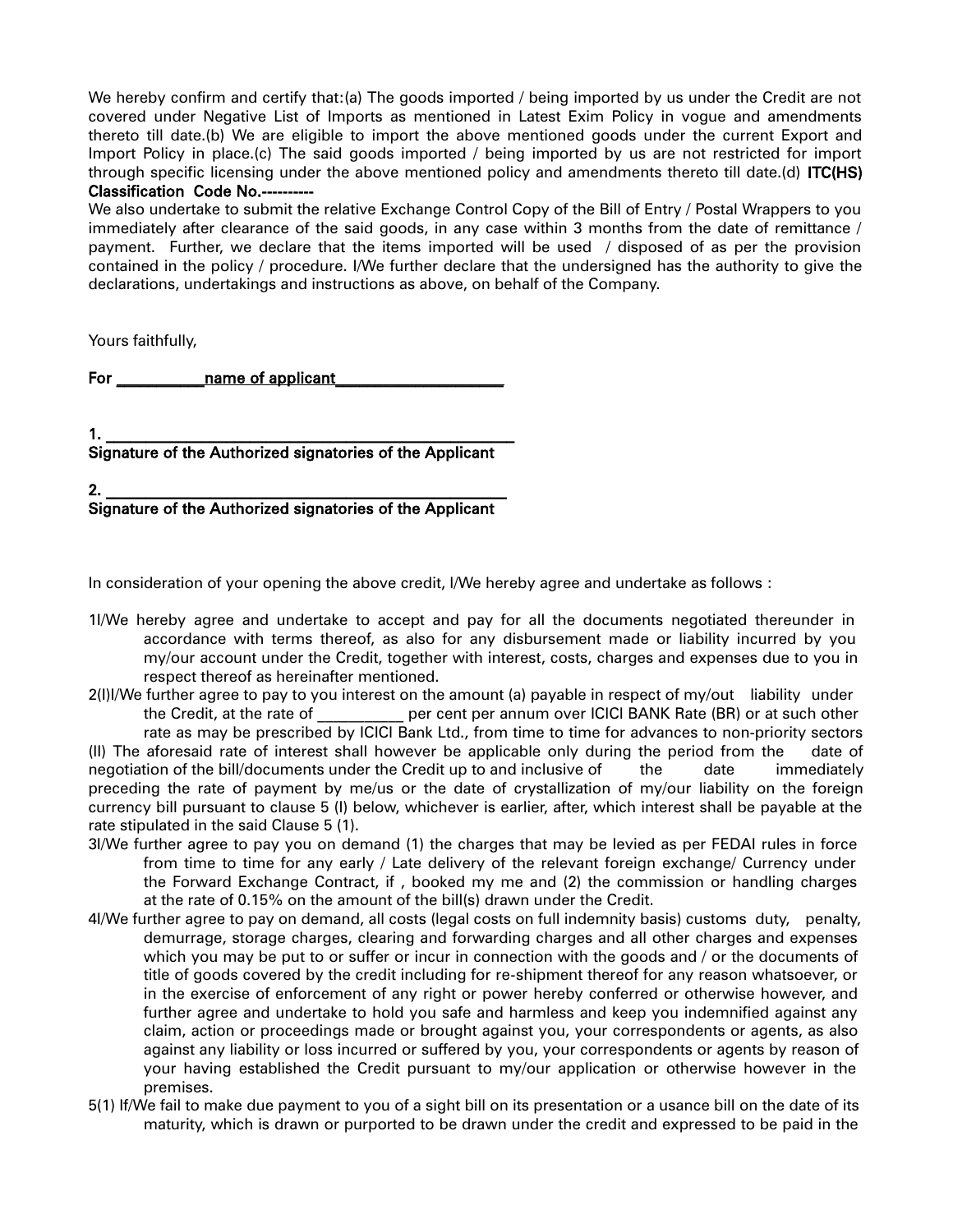We hereby confirm and certify that:(a) The goods imported / being imported by us under the Credit are not covered under Negative List of Imports as mentioned in Latest Exim Policy in vogue and amendments thereto till date.(b) We are eligible to import the above mentioned goods under the current Export and Import Policy in place.(c) The said goods imported / being imported by us are not restricted for import through specific licensing under the above mentioned policy and amendments thereto till date.(d) ITC(HS) Classification Code No.--

We also undertake to submit the relative Exchange Control Copy of the Bill of Entry / Postal Wrappers to you immediately after clearance of the said goods, in any case within 3 months from the date of remittance / payment. Further, we declare that the items imported will be used / disposed of as per the provision contained in the policy / procedure. I/We further declare that the undersigned has the authority to give the declarations, undertakings and instructions as above, on behalf of the Company.

Yours faithfully,

For \_\_\_\_\_\_\_\_\_\_\_name of applicant\_\_\_\_\_\_\_\_\_\_\_\_\_\_\_\_\_\_\_\_\_

1. \_\_\_\_\_\_\_\_\_\_\_\_\_\_\_\_\_\_\_\_\_\_\_\_\_\_\_\_\_\_\_\_\_\_\_\_\_\_\_\_\_\_\_\_\_\_\_\_\_\_\_ Signature of the Authorized signatories of the Applicant

2. \_\_\_\_\_\_\_\_\_\_\_\_\_\_\_\_\_\_\_\_\_\_\_\_\_\_\_\_\_\_\_\_\_\_\_\_\_\_\_\_\_\_\_\_\_\_\_\_\_\_ Signature of the Authorized signatories of the Applicant

In consideration of your opening the above credit, I/We hereby agree and undertake as follows :

- 1I/We hereby agree and undertake to accept and pay for all the documents negotiated thereunder in accordance with terms thereof, as also for any disbursement made or liability incurred by you my/our account under the Credit, together with interest, costs, charges and expenses due to you in respect thereof as hereinafter mentioned.
- 2(I)I/We further agree to pay to you interest on the amount (a) payable in respect of my/out liability under the Credit, at the rate of **Exercise per cent per annum over ICICI BANK Rate (BR)** or at such other rate as may be prescribed by ICICI Bank Ltd., from time to time for advances to non-priority sectors (II) The aforesaid rate of interest shall however be applicable only during the period from the date of negotiation of the bill/documents under the Credit up to and inclusive of the date immediately preceding the rate of payment by me/us or the date of crystallization of my/our liability on the foreign

currency bill pursuant to clause 5 (I) below, whichever is earlier, after, which interest shall be payable at the rate stipulated in the said Clause 5 (1).

- 3I/We further agree to pay you on demand (1) the charges that may be levied as per FEDAI rules in force from time to time for any early / Late delivery of the relevant foreign exchange/ Currency under the Forward Exchange Contract, if , booked my me and (2) the commission or handling charges at the rate of 0.15% on the amount of the bill(s) drawn under the Credit.
- 4I/We further agree to pay on demand, all costs (legal costs on full indemnity basis) customs duty, penalty, demurrage, storage charges, clearing and forwarding charges and all other charges and expenses which you may be put to or suffer or incur in connection with the goods and / or the documents of title of goods covered by the credit including for re-shipment thereof for any reason whatsoever, or in the exercise of enforcement of any right or power hereby conferred or otherwise however, and further agree and undertake to hold you safe and harmless and keep you indemnified against any claim, action or proceedings made or brought against you, your correspondents or agents, as also against any liability or loss incurred or suffered by you, your correspondents or agents by reason of your having established the Credit pursuant to my/our application or otherwise however in the premises.
- 5(1) If/We fail to make due payment to you of a sight bill on its presentation or a usance bill on the date of its maturity, which is drawn or purported to be drawn under the credit and expressed to be paid in the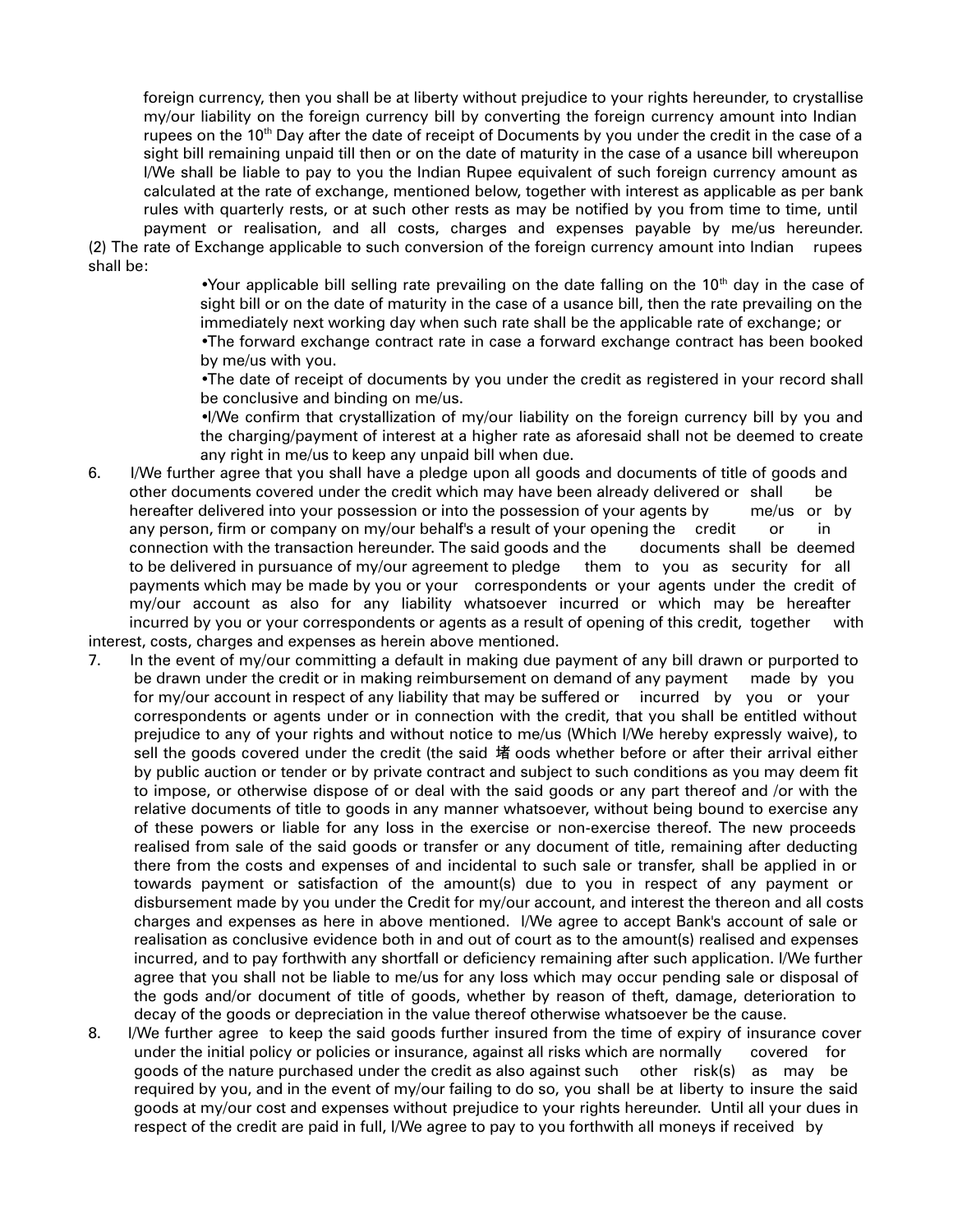foreign currency, then you shall be at liberty without prejudice to your rights hereunder, to crystallise my/our liability on the foreign currency bill by converting the foreign currency amount into Indian rupees on the 10<sup>th</sup> Day after the date of receipt of Documents by you under the credit in the case of a sight bill remaining unpaid till then or on the date of maturity in the case of a usance bill whereupon I/We shall be liable to pay to you the Indian Rupee equivalent of such foreign currency amount as calculated at the rate of exchange, mentioned below, together with interest as applicable as per bank rules with quarterly rests, or at such other rests as may be notified by you from time to time, until payment or realisation, and all costs, charges and expenses payable by me/us hereunder.

(2) The rate of Exchange applicable to such conversion of the foreign currency amount into Indian rupees shall be:

> •Your applicable bill selling rate prevailing on the date falling on the  $10<sup>th</sup>$  day in the case of sight bill or on the date of maturity in the case of a usance bill, then the rate prevailing on the immediately next working day when such rate shall be the applicable rate of exchange; or

> •The forward exchange contract rate in case a forward exchange contract has been booked by me/us with you.

> •The date of receipt of documents by you under the credit as registered in your record shall be conclusive and binding on me/us.

> •I/We confirm that crystallization of my/our liability on the foreign currency bill by you and the charging/payment of interest at a higher rate as aforesaid shall not be deemed to create any right in me/us to keep any unpaid bill when due.

- 6. I/We further agree that you shall have a pledge upon all goods and documents of title of goods and other documents covered under the credit which may have been already delivered or shall be hereafter delivered into your possession or into the possession of your agents by me/us or by any person, firm or company on my/our behalf's a result of your opening the credit or in connection with the transaction hereunder. The said goods and the documents shall be deemed to be delivered in pursuance of my/our agreement to pledge them to you as security for all payments which may be made by you or your correspondents or your agents under the credit of my/our account as also for any liability whatsoever incurred or which may be hereafter incurred by you or your correspondents or agents as a result of opening of this credit, together with interest, costs, charges and expenses as herein above mentioned.
- 7. In the event of my/our committing a default in making due payment of any bill drawn or purported to be drawn under the credit or in making reimbursement on demand of any payment made by you for my/our account in respect of any liability that may be suffered or incurred by you or your correspondents or agents under or in connection with the credit, that you shall be entitled without prejudice to any of your rights and without notice to me/us (Which I/We hereby expressly waive), to sell the goods covered under the credit (the said 堵 oods whether before or after their arrival either by public auction or tender or by private contract and subject to such conditions as you may deem fit to impose, or otherwise dispose of or deal with the said goods or any part thereof and /or with the relative documents of title to goods in any manner whatsoever, without being bound to exercise any of these powers or liable for any loss in the exercise or non-exercise thereof. The new proceeds realised from sale of the said goods or transfer or any document of title, remaining after deducting there from the costs and expenses of and incidental to such sale or transfer, shall be applied in or towards payment or satisfaction of the amount(s) due to you in respect of any payment or disbursement made by you under the Credit for my/our account, and interest the thereon and all costs charges and expenses as here in above mentioned. I/We agree to accept Bank's account of sale or realisation as conclusive evidence both in and out of court as to the amount(s) realised and expenses incurred, and to pay forthwith any shortfall or deficiency remaining after such application. I/We further agree that you shall not be liable to me/us for any loss which may occur pending sale or disposal of the gods and/or document of title of goods, whether by reason of theft, damage, deterioration to decay of the goods or depreciation in the value thereof otherwise whatsoever be the cause.
- 8. I/We further agree to keep the said goods further insured from the time of expiry of insurance cover under the initial policy or policies or insurance, against all risks which are normally covered for goods of the nature purchased under the credit as also against such other risk(s) as may be required by you, and in the event of my/our failing to do so, you shall be at liberty to insure the said goods at my/our cost and expenses without prejudice to your rights hereunder. Until all your dues in respect of the credit are paid in full, I/We agree to pay to you forthwith all moneys if received by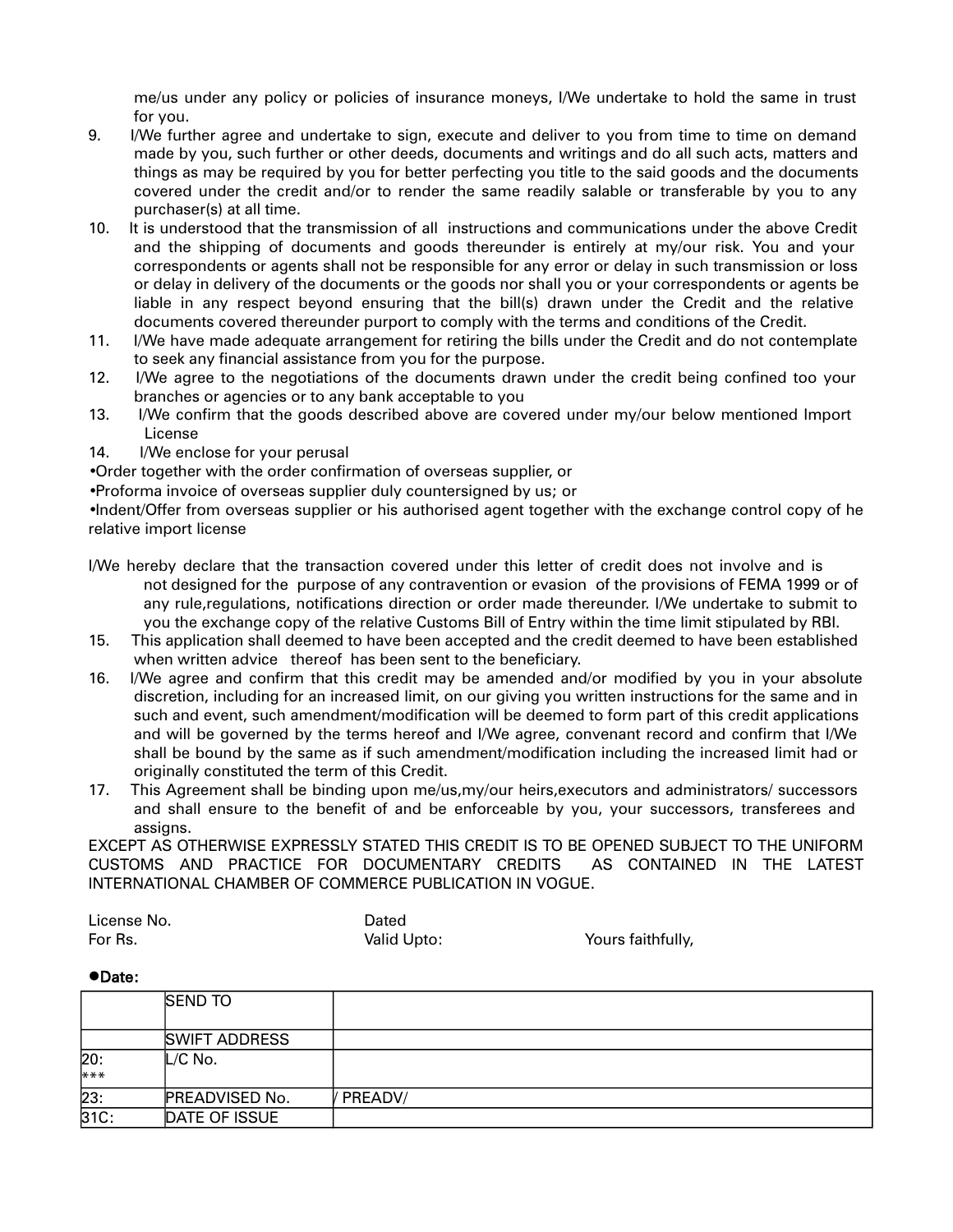me/us under any policy or policies of insurance moneys, I/We undertake to hold the same in trust for you.

- 9. I/We further agree and undertake to sign, execute and deliver to you from time to time on demand made by you, such further or other deeds, documents and writings and do all such acts, matters and things as may be required by you for better perfecting you title to the said goods and the documents covered under the credit and/or to render the same readily salable or transferable by you to any purchaser(s) at all time.
- 10. It is understood that the transmission of all instructions and communications under the above Credit and the shipping of documents and goods thereunder is entirely at my/our risk. You and your correspondents or agents shall not be responsible for any error or delay in such transmission or loss or delay in delivery of the documents or the goods nor shall you or your correspondents or agents be liable in any respect beyond ensuring that the bill(s) drawn under the Credit and the relative documents covered thereunder purport to comply with the terms and conditions of the Credit.
- 11. I/We have made adequate arrangement for retiring the bills under the Credit and do not contemplate to seek any financial assistance from you for the purpose.
- 12. I/We agree to the negotiations of the documents drawn under the credit being confined too your branches or agencies or to any bank acceptable to you
- 13. I/We confirm that the goods described above are covered under my/our below mentioned Import License
- 14. I/We enclose for your perusal

•Order together with the order confirmation of overseas supplier, or

•Proforma invoice of overseas supplier duly countersigned by us; or

•Indent/Offer from overseas supplier or his authorised agent together with the exchange control copy of he relative import license

- I/We hereby declare that the transaction covered under this letter of credit does not involve and is not designed for the purpose of any contravention or evasion of the provisions of FEMA 1999 or of any rule,regulations, notifications direction or order made thereunder. I/We undertake to submit to you the exchange copy of the relative Customs Bill of Entry within the time limit stipulated by RBI.
- 15. This application shall deemed to have been accepted and the credit deemed to have been established when written advice thereof has been sent to the beneficiary.
- 16. I/We agree and confirm that this credit may be amended and/or modified by you in your absolute discretion, including for an increased limit, on our giving you written instructions for the same and in such and event, such amendment/modification will be deemed to form part of this credit applications and will be governed by the terms hereof and I/We agree, convenant record and confirm that I/We shall be bound by the same as if such amendment/modification including the increased limit had or originally constituted the term of this Credit.
- 17. This Agreement shall be binding upon me/us,my/our heirs,executors and administrators/ successors and shall ensure to the benefit of and be enforceable by you, your successors, transferees and assigns.

EXCEPT AS OTHERWISE EXPRESSLY STATED THIS CREDIT IS TO BE OPENED SUBJECT TO THE UNIFORM CUSTOMS AND PRACTICE FOR DOCUMENTARY CREDITS AS CONTAINED IN THE LATEST INTERNATIONAL CHAMBER OF COMMERCE PUBLICATION IN VOGUE.

| License No. | Dated       |
|-------------|-------------|
| For Rs.     | Valid Upto: |

Yours faithfully,

#### ●Date:

|              | <b>SEND TO</b>        |         |
|--------------|-----------------------|---------|
|              | <b>SWIFT ADDRESS</b>  |         |
| 20:<br>$***$ | L/C No.               |         |
| 23:          | <b>PREADVISED No.</b> | PREADV/ |
| 31C:         | DATE OF ISSUE         |         |